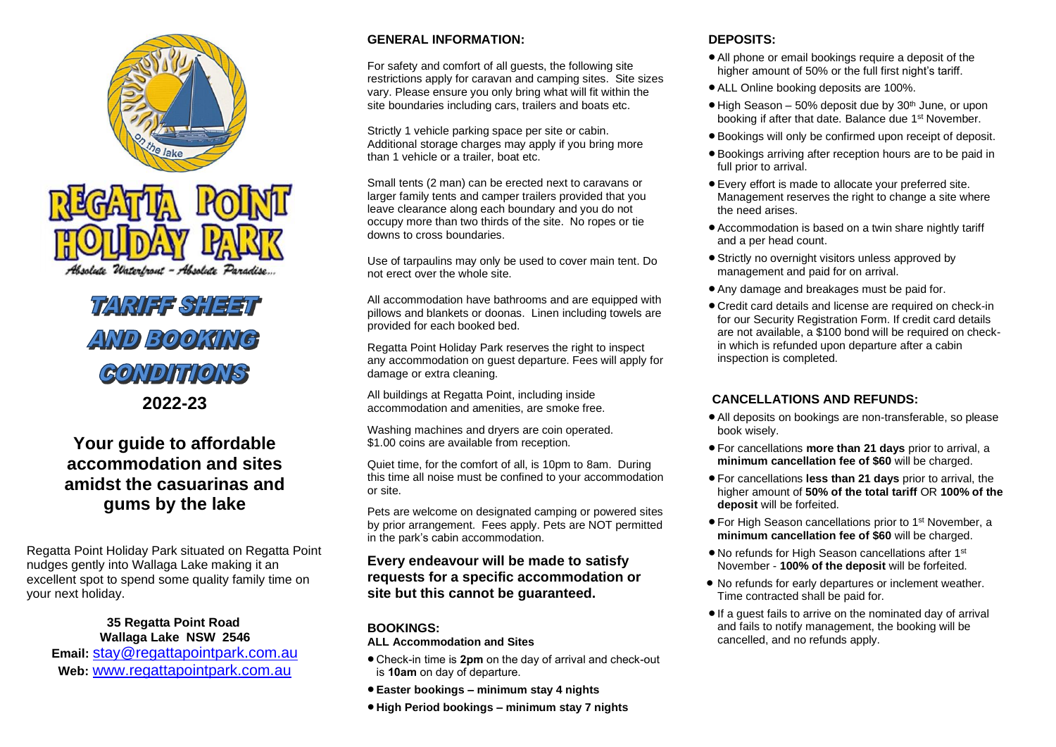

# **TARIFF SHEET** AND BOOKING **GONDITIONS**

**2022-23**

### **Your guide to affordable accommodation and sites amidst the casuarinas and gums by the lake**

Regatta Point Holiday Park situated on Regatta Point nudges gently into Wallaga Lake making it an excellent spot to spend some quality family time on your next holiday.

#### **35 Regatta Point Road Wallaga Lake NSW 2546**

**Email:** [stay@regattapointpark.com.au](mailto:stay@regattapointpark.com.au) **Web:** [www.regattapointpark.com.au](http://www.regattapointpark.com.au/)

#### **GENERAL INFORMATION:**

For safety and comfort of all guests, the following site restrictions apply for caravan and camping sites. Site sizes vary. Please ensure you only bring what will fit within the site boundaries including cars, trailers and boats etc.

Strictly 1 vehicle parking space per site or cabin. Additional storage charges may apply if you bring more than 1 vehicle or a trailer, boat etc.

Small tents (2 man) can be erected next to caravans or larger family tents and camper trailers provided that you leave clearance along each boundary and you do not occupy more than two thirds of the site. No ropes or tie downs to cross boundaries.

Use of tarpaulins may only be used to cover main tent. Do not erect over the whole site.

All accommodation have bathrooms and are equipped with pillows and blankets or doonas. Linen including towels are provided for each booked bed.

Regatta Point Holiday Park reserves the right to inspect any accommodation on guest departure. Fees will apply for damage or extra cleaning.

All buildings at Regatta Point, including inside accommodation and amenities, are smoke free.

Washing machines and dryers are coin operated. \$1.00 coins are available from reception.

Quiet time, for the comfort of all, is 10pm to 8am. During this time all noise must be confined to your accommodation or site.

Pets are welcome on designated camping or powered sites by prior arrangement. Fees apply. Pets are NOT permitted in the park's cabin accommodation.

#### **Every endeavour will be made to satisfy requests for a specific accommodation or site but this cannot be guaranteed.**

#### **BOOKINGS:**

#### **ALL Accommodation and Sites**

- Check-in time is **2pm** on the day of arrival and check-out is **10am** on day of departure.
- **Easter bookings – minimum stay 4 nights**
- **High Period bookings – minimum stay 7 nights**

#### **DEPOSITS:**

- All phone or email bookings require a deposit of the higher amount of 50% or the full first night's tariff.
- ALL Online booking deposits are 100%.
- $\bullet$  High Season 50% deposit due by 30<sup>th</sup> June, or upon booking if after that date. Balance due 1st November.
- Bookings will only be confirmed upon receipt of deposit.
- Bookings arriving after reception hours are to be paid in full prior to arrival.
- Every effort is made to allocate your preferred site. Management reserves the right to change a site where the need arises.
- Accommodation is based on a twin share nightly tariff and a per head count.
- Strictly no overnight visitors unless approved by management and paid for on arrival.
- Any damage and breakages must be paid for.
- Credit card details and license are required on check-in for our Security Registration Form. If credit card details are not available, a \$100 bond will be required on checkin which is refunded upon departure after a cabin inspection is completed.

#### **CANCELLATIONS AND REFUNDS:**

- All deposits on bookings are non-transferable, so please book wisely.
- For cancellations **more than 21 days** prior to arrival, a **minimum cancellation fee of \$60** will be charged.
- For cancellations **less than 21 days** prior to arrival, the higher amount of **50% of the total tariff** OR **100% of the deposit** will be forfeited.
- For High Season cancellations prior to 1<sup>st</sup> November, a **minimum cancellation fee of \$60** will be charged.
- No refunds for High Season cancellations after 1 st November - **100% of the deposit** will be forfeited.
- No refunds for early departures or inclement weather. Time contracted shall be paid for.
- If a guest fails to arrive on the nominated day of arrival and fails to notify management, the booking will be cancelled, and no refunds apply.